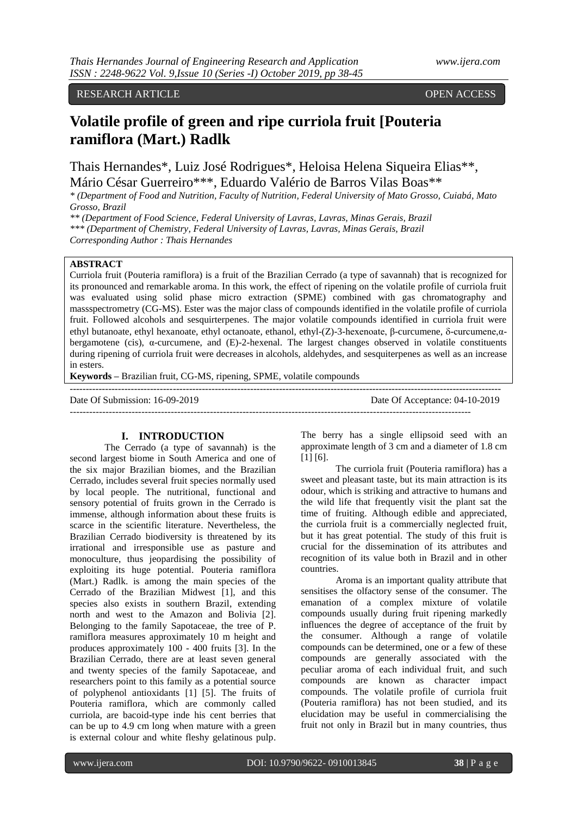# RESEARCH ARTICLE **CONSERVERS** OPEN ACCESS

# **Volatile profile of green and ripe curriola fruit [Pouteria ramiflora (Mart.) Radlk**

Thais Hernandes\*, Luiz José Rodrigues\*, Heloisa Helena Siqueira Elias\*\*, Mário César Guerreiro\*\*\*, Eduardo Valério de Barros Vilas Boas\*\*

*\* (Department of Food and Nutrition, Faculty of Nutrition, Federal University of Mato Grosso, Cuiabá, Mato Grosso, Brazil*

*\*\* (Department of Food Science, Federal University of Lavras, Lavras, Minas Gerais, Brazil*

*\*\*\* (Department of Chemistry, Federal University of Lavras, Lavras, Minas Gerais, Brazil*

*Corresponding Author : Thais Hernandes*

## **ABSTRACT**

Curriola fruit (Pouteria ramiflora) is a fruit of the Brazilian Cerrado (a type of savannah) that is recognized for its pronounced and remarkable aroma. In this work, the effect of ripening on the volatile profile of curriola fruit was evaluated using solid phase micro extraction (SPME) combined with gas chromatography and massspectrometry (CG-MS). Ester was the major class of compounds identified in the volatile profile of curriola fruit. Followed alcohols and sesquirterpenes. The major volatile compounds identified in curriola fruit were ethyl butanoate, ethyl hexanoate, ethyl octanoate, ethanol, ethyl-(Z)-3-hexenoate, β-curcumene, δ-curcumene,αbergamotene (cis),  $\alpha$ -curcumene, and (E)-2-hexenal. The largest changes observed in volatile constituents during ripening of curriola fruit were decreases in alcohols, aldehydes, and sesquiterpenes as well as an increase in esters.

**Keywords –** Brazilian fruit, CG-MS, ripening, SPME, volatile compounds

| Date Of Submission: 16-09-2019 | Date Of Acceptance: 04-10-2019 |
|--------------------------------|--------------------------------|
|                                |                                |

## **I. INTRODUCTION**

The Cerrado (a type of savannah) is the second largest biome in South America and one of the six major Brazilian biomes, and the Brazilian Cerrado, includes several fruit species normally used by local people. The nutritional, functional and sensory potential of fruits grown in the Cerrado is immense, although information about these fruits is scarce in the scientific literature. Nevertheless, the Brazilian Cerrado biodiversity is threatened by its irrational and irresponsible use as pasture and monoculture, thus jeopardising the possibility of exploiting its huge potential. Pouteria ramiflora (Mart.) Radlk. is among the main species of the Cerrado of the Brazilian Midwest [1], and this species also exists in southern Brazil, extending north and west to the Amazon and Bolivia [2]. Belonging to the family Sapotaceae, the tree of P. ramiflora measures approximately 10 m height and produces approximately 100 - 400 fruits [3]. In the Brazilian Cerrado, there are at least seven general and twenty species of the family Sapotaceae, and researchers point to this family as a potential source of polyphenol antioxidants [1] [5]. The fruits of Pouteria ramiflora, which are commonly called curriola, are bacoid-type inde his cent berries that can be up to 4.9 cm long when mature with a green is external colour and white fleshy gelatinous pulp.

The berry has a single ellipsoid seed with an approximate length of 3 cm and a diameter of 1.8 cm [1] [6].

The curriola fruit (Pouteria ramiflora) has a sweet and pleasant taste, but its main attraction is its odour, which is striking and attractive to humans and the wild life that frequently visit the plant sat the time of fruiting. Although edible and appreciated, the curriola fruit is a commercially neglected fruit, but it has great potential. The study of this fruit is crucial for the dissemination of its attributes and recognition of its value both in Brazil and in other countries.

Aroma is an important quality attribute that sensitises the olfactory sense of the consumer. The emanation of a complex mixture of volatile compounds usually during fruit ripening markedly influences the degree of acceptance of the fruit by the consumer. Although a range of volatile compounds can be determined, one or a few of these compounds are generally associated with the peculiar aroma of each individual fruit, and such compounds are known as character impact compounds. The volatile profile of curriola fruit (Pouteria ramiflora) has not been studied, and its elucidation may be useful in commercialising the fruit not only in Brazil but in many countries, thus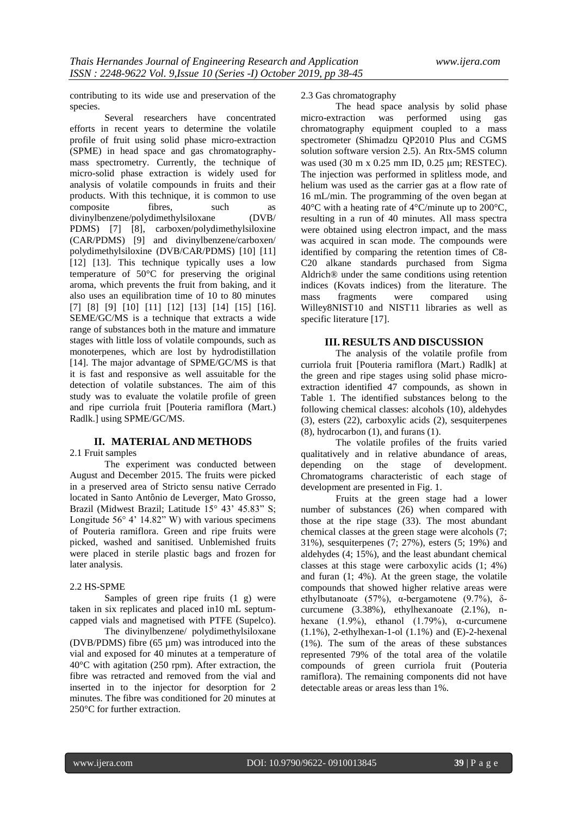contributing to its wide use and preservation of the species.

Several researchers have concentrated efforts in recent years to determine the volatile profile of fruit using solid phase micro-extraction (SPME) in head space and gas chromatographymass spectrometry. Currently, the technique of micro-solid phase extraction is widely used for analysis of volatile compounds in fruits and their products. With this technique, it is common to use<br>composite fibres, such as composite fibres, such as<br>divinylbenzene/polydimethylsiloxane (DVB/ divinylbenzene/polydimethylsiloxane PDMS) [7] [8], carboxen/polydimethylsiloxine (CAR/PDMS) [9] and divinylbenzene/carboxen/ polydimethylsiloxine (DVB/CAR/PDMS) [10] [11] [12] [13]. This technique typically uses a low temperature of 50°C for preserving the original aroma, which prevents the fruit from baking, and it also uses an equilibration time of 10 to 80 minutes [7] [8] [9] [10] [11] [12] [13] [14] [15] [16]. SEME/GC/MS is a technique that extracts a wide range of substances both in the mature and immature stages with little loss of volatile compounds, such as monoterpenes, which are lost by hydrodistillation [14]. The major advantage of SPME/GC/MS is that it is fast and responsive as well assuitable for the detection of volatile substances. The aim of this study was to evaluate the volatile profile of green and ripe curriola fruit [Pouteria ramiflora (Mart.) Radlk.] using SPME/GC/MS.

## **II. MATERIAL AND METHODS**

#### 2.1 Fruit samples

The experiment was conducted between August and December 2015. The fruits were picked in a preserved area of Stricto sensu native Cerrado located in Santo Antônio de Leverger, Mato Grosso, Brazil (Midwest Brazil; Latitude 15° 43' 45.83" S; Longitude  $56^{\circ}$  4' 14.82" W) with various specimens of Pouteria ramiflora. Green and ripe fruits were picked, washed and sanitised. Unblemished fruits were placed in sterile plastic bags and frozen for later analysis.

#### 2.2 HS-SPME

Samples of green ripe fruits (1 g) were taken in six replicates and placed in10 mL septumcapped vials and magnetised with PTFE (Supelco).

The divinylbenzene/ polydimethylsiloxane (DVB/PDMS) fibre (65 µm) was introduced into the vial and exposed for 40 minutes at a temperature of 40°C with agitation (250 rpm). After extraction, the fibre was retracted and removed from the vial and inserted in to the injector for desorption for 2 minutes. The fibre was conditioned for 20 minutes at 250°C for further extraction.

### 2.3 Gas chromatography

The head space analysis by solid phase micro-extraction was performed using gas chromatography equipment coupled to a mass spectrometer (Shimadzu QP2010 Plus and CGMS solution software version 2.5). An Rtx-5MS column was used (30 m x 0.25 mm ID, 0.25 µm; RESTEC). The injection was performed in splitless mode, and helium was used as the carrier gas at a flow rate of 16 mL/min. The programming of the oven began at 40°C with a heating rate of 4°C/minute up to 200°C, resulting in a run of 40 minutes. All mass spectra were obtained using electron impact, and the mass was acquired in scan mode. The compounds were identified by comparing the retention times of C8- C20 alkane standards purchased from Sigma Aldrich® under the same conditions using retention indices (Kovats indices) from the literature. The mass fragments were compared using Willey8NIST10 and NIST11 libraries as well as specific literature [17].

#### **III. RESULTS AND DISCUSSION**

The analysis of the volatile profile from curriola fruit [Pouteria ramiflora (Mart.) Radlk] at the green and ripe stages using solid phase microextraction identified 47 compounds, as shown in Table 1. The identified substances belong to the following chemical classes: alcohols (10), aldehydes (3), esters (22), carboxylic acids (2), sesquiterpenes (8), hydrocarbon (1), and furans (1).

The volatile profiles of the fruits varied qualitatively and in relative abundance of areas, depending on the stage of development. Chromatograms characteristic of each stage of development are presented in Fig. 1.

Fruits at the green stage had a lower number of substances (26) when compared with those at the ripe stage (33). The most abundant chemical classes at the green stage were alcohols (7; 31%), sesquiterpenes (7; 27%), esters (5; 19%) and aldehydes (4; 15%), and the least abundant chemical classes at this stage were carboxylic acids (1; 4%) and furan (1; 4%). At the green stage, the volatile compounds that showed higher relative areas were ethylbutanoate (57%), α-bergamotene (9.7%), δcurcumene (3.38%), ethylhexanoate (2.1%), nhexane  $(1.9\%)$ , ethanol  $(1.79\%)$ ,  $\alpha$ -curcumene  $(1.1\%)$ , 2-ethylhexan-1-ol  $(1.1\%)$  and  $(E)$ -2-hexenal (1%). The sum of the areas of these substances represented 79% of the total area of the volatile compounds of green curriola fruit (Pouteria ramiflora). The remaining components did not have detectable areas or areas less than 1%.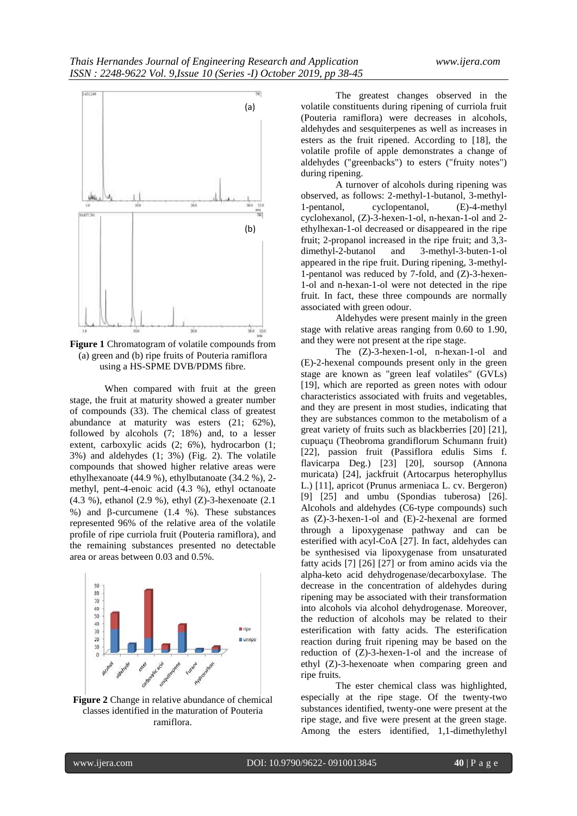

**Figure 1** Chromatogram of volatile compounds from (a) green and (b) ripe fruits of Pouteria ramiflora using a HS-SPME DVB/PDMS fibre.

When compared with fruit at the green stage, the fruit at maturity showed a greater number of compounds (33). The chemical class of greatest abundance at maturity was esters (21; 62%), followed by alcohols (7; 18%) and, to a lesser extent, carboxylic acids (2; 6%), hydrocarbon (1; 3%) and aldehydes (1; 3%) (Fig. 2). The volatile compounds that showed higher relative areas were ethylhexanoate (44.9 %), ethylbutanoate (34.2 %), 2 methyl, pent-4-enoic acid (4.3 %), ethyl octanoate (4.3 %), ethanol (2.9 %), ethyl (Z)-3-hexenoate (2.1 %) and  $\beta$ -curcumene (1.4 %). These substances represented 96% of the relative area of the volatile profile of ripe curriola fruit (Pouteria ramiflora), and the remaining substances presented no detectable area or areas between 0.03 and 0.5%.



**Figure 2** Change in relative abundance of chemical classes identified in the maturation of Pouteria ramiflora.

The greatest changes observed in the volatile constituents during ripening of curriola fruit (Pouteria ramiflora) were decreases in alcohols, aldehydes and sesquiterpenes as well as increases in esters as the fruit ripened. According to [18], the volatile profile of apple demonstrates a change of aldehydes ("greenbacks") to esters ("fruity notes") during ripening.

A turnover of alcohols during ripening was observed, as follows: 2-methyl-1-butanol, 3-methyl-1-pentanol, cyclopentanol, (E)-4-methyl cyclohexanol, (Z)-3-hexen-1-ol, n-hexan-1-ol and 2 ethylhexan-1-ol decreased or disappeared in the ripe fruit; 2-propanol increased in the ripe fruit; and 3,3-<br>dimethyl-2-butanol and 3-methyl-3-buten-1-ol and 3-methyl-3-buten-1-ol appeared in the ripe fruit. During ripening, 3-methyl-1-pentanol was reduced by 7-fold, and (Z)-3-hexen-1-ol and n-hexan-1-ol were not detected in the ripe fruit. In fact, these three compounds are normally associated with green odour.

Aldehydes were present mainly in the green stage with relative areas ranging from 0.60 to 1.90, and they were not present at the ripe stage.

The (Z)-3-hexen-1-ol, n-hexan-1-ol and (E)-2-hexenal compounds present only in the green stage are known as "green leaf volatiles" (GVLs) [19], which are reported as green notes with odour characteristics associated with fruits and vegetables, and they are present in most studies, indicating that they are substances common to the metabolism of a great variety of fruits such as blackberries [20] [21], cupuaçu (Theobroma grandiflorum Schumann fruit) [22], passion fruit (Passiflora edulis Sims f. flavicarpa Deg.) [23] [20], soursop (Annona muricata) [24], jackfruit (Artocarpus heterophyllus L.) [11], apricot (Prunus armeniaca L. cv. Bergeron) [9] [25] and umbu (Spondias tuberosa) [26]. Alcohols and aldehydes (C6-type compounds) such as (Z)-3-hexen-1-ol and (E)-2-hexenal are formed through a lipoxygenase pathway and can be esterified with acyl-CoA [27]. In fact, aldehydes can be synthesised via lipoxygenase from unsaturated fatty acids [7] [26] [27] or from amino acids via the alpha-keto acid dehydrogenase/decarboxylase. The decrease in the concentration of aldehydes during ripening may be associated with their transformation into alcohols via alcohol dehydrogenase. Moreover, the reduction of alcohols may be related to their esterification with fatty acids. The esterification reaction during fruit ripening may be based on the reduction of (Z)-3-hexen-1-ol and the increase of ethyl (Z)-3-hexenoate when comparing green and ripe fruits.

The ester chemical class was highlighted, especially at the ripe stage. Of the twenty-two substances identified, twenty-one were present at the ripe stage, and five were present at the green stage. Among the esters identified, 1,1-dimethylethyl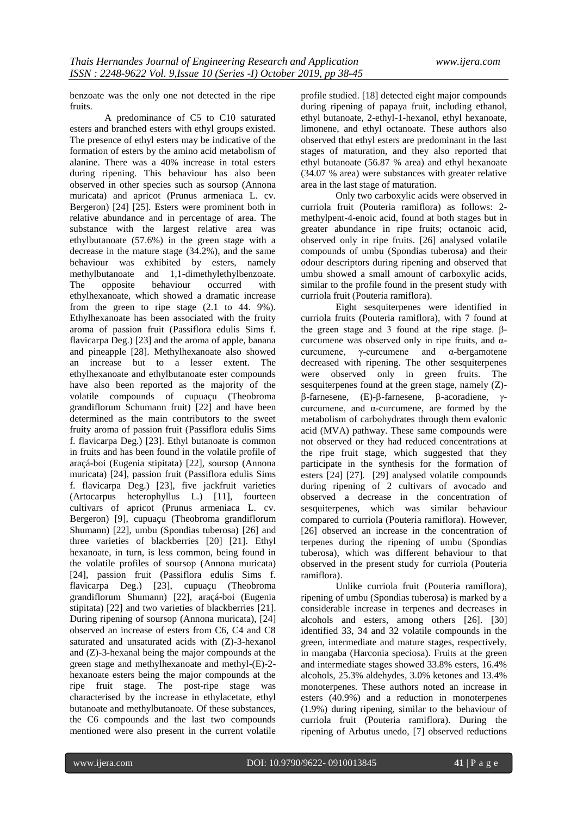benzoate was the only one not detected in the ripe fruits.

A predominance of C5 to C10 saturated esters and branched esters with ethyl groups existed. The presence of ethyl esters may be indicative of the formation of esters by the amino acid metabolism of alanine. There was a 40% increase in total esters during ripening. This behaviour has also been observed in other species such as soursop (Annona muricata) and apricot (Prunus armeniaca L. cv. Bergeron) [24] [25]. Esters were prominent both in relative abundance and in percentage of area. The substance with the largest relative area was ethylbutanoate (57.6%) in the green stage with a decrease in the mature stage (34.2%), and the same behaviour was exhibited by esters, namely<br>methylbutanoate and 1,1-dimethylethylbenzoate. and  $1,1$ -dimethylethylbenzoate. The opposite behaviour occurred with ethylhexanoate, which showed a dramatic increase from the green to ripe stage (2.1 to 44. 9%). Ethylhexanoate has been associated with the fruity aroma of passion fruit (Passiflora edulis Sims f. flavicarpa Deg.) [23] and the aroma of apple, banana and pineapple [28]. Methylhexanoate also showed an increase but to a lesser extent. The ethylhexanoate and ethylbutanoate ester compounds have also been reported as the majority of the volatile compounds of cupuaçu (Theobroma grandiflorum Schumann fruit) [22] and have been determined as the main contributors to the sweet fruity aroma of passion fruit (Passiflora edulis Sims f. flavicarpa Deg.) [23]. Ethyl butanoate is common in fruits and has been found in the volatile profile of araçá-boi (Eugenia stipitata) [22], soursop (Annona muricata) [24], passion fruit (Passiflora edulis Sims f. flavicarpa Deg.) [23], five jackfruit varieties (Artocarpus heterophyllus L.) [11], fourteen cultivars of apricot (Prunus armeniaca L. cv. Bergeron) [9], cupuaçu (Theobroma grandiflorum Shumann) [22], umbu (Spondias tuberosa) [26] and three varieties of blackberries [20] [21]. Ethyl hexanoate, in turn, is less common, being found in the volatile profiles of soursop (Annona muricata) [24], passion fruit (Passiflora edulis Sims f. flavicarpa Deg.) [23], cupuaçu (Theobroma grandiflorum Shumann) [22], araçá-boi (Eugenia stipitata) [22] and two varieties of blackberries [21]. During ripening of soursop (Annona muricata), [24] observed an increase of esters from C6, C4 and C8 saturated and unsaturated acids with (Z)-3-hexanol and (Z)-3-hexanal being the major compounds at the green stage and methylhexanoate and methyl-(E)-2 hexanoate esters being the major compounds at the ripe fruit stage. The post-ripe stage was characterised by the increase in ethylacetate, ethyl butanoate and methylbutanoate. Of these substances, the C6 compounds and the last two compounds mentioned were also present in the current volatile

profile studied. [18] detected eight major compounds during ripening of papaya fruit, including ethanol, ethyl butanoate, 2-ethyl-1-hexanol, ethyl hexanoate, limonene, and ethyl octanoate. These authors also observed that ethyl esters are predominant in the last stages of maturation, and they also reported that ethyl butanoate (56.87 % area) and ethyl hexanoate (34.07 % area) were substances with greater relative area in the last stage of maturation.

Only two carboxylic acids were observed in curriola fruit (Pouteria ramiflora) as follows: 2 methylpent-4-enoic acid, found at both stages but in greater abundance in ripe fruits; octanoic acid, observed only in ripe fruits. [26] analysed volatile compounds of umbu (Spondias tuberosa) and their odour descriptors during ripening and observed that umbu showed a small amount of carboxylic acids, similar to the profile found in the present study with curriola fruit (Pouteria ramiflora).

Eight sesquiterpenes were identified in curriola fruits (Pouteria ramiflora), with 7 found at the green stage and 3 found at the ripe stage. βcurcumene was observed only in ripe fruits, and  $\alpha$ curcumene, γ-curcumene and α-bergamotene decreased with ripening. The other sesquiterpenes were observed only in green fruits. The sesquiterpenes found at the green stage, namely (Z)-  $\beta$ -farnesene, (E)- $\beta$ -farnesene,  $\beta$ -acoradiene,  $\gamma$ curcumene, and  $\alpha$ -curcumene, are formed by the metabolism of carbohydrates through them evalonic acid (MVA) pathway. These same compounds were not observed or they had reduced concentrations at the ripe fruit stage, which suggested that they participate in the synthesis for the formation of esters [24] [27]. [29] analysed volatile compounds during ripening of 2 cultivars of avocado and observed a decrease in the concentration of sesquiterpenes, which was similar behaviour compared to curriola (Pouteria ramiflora). However, [26] observed an increase in the concentration of terpenes during the ripening of umbu (Spondias tuberosa), which was different behaviour to that observed in the present study for curriola (Pouteria ramiflora).

Unlike curriola fruit (Pouteria ramiflora), ripening of umbu (Spondias tuberosa) is marked by a considerable increase in terpenes and decreases in alcohols and esters, among others [26]. [30] identified 33, 34 and 32 volatile compounds in the green, intermediate and mature stages, respectively, in mangaba (Harconia speciosa). Fruits at the green and intermediate stages showed 33.8% esters, 16.4% alcohols, 25.3% aldehydes, 3.0% ketones and 13.4% monoterpenes. These authors noted an increase in esters (40.9%) and a reduction in monoterpenes (1.9%) during ripening, similar to the behaviour of curriola fruit (Pouteria ramiflora). During the ripening of Arbutus unedo, [7] observed reductions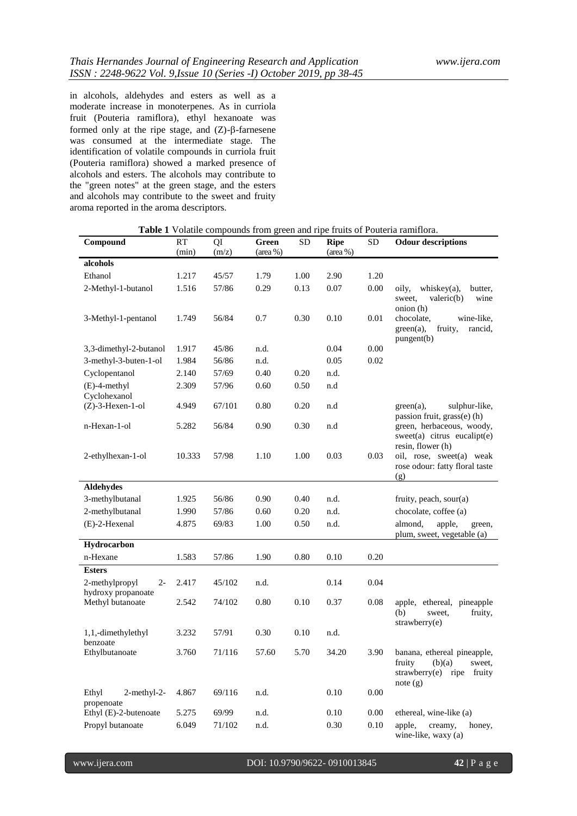in alcohols, aldehydes and esters as well as a moderate increase in monoterpenes. As in curriola fruit (Pouteria ramiflora), ethyl hexanoate was formed only at the ripe stage, and  $(Z)$ - $\beta$ -farnesene was consumed at the intermediate stage. The identification of volatile compounds in curriola fruit (Pouteria ramiflora) showed a marked presence of alcohols and esters. The alcohols may contribute to the "green notes" at the green stage, and the esters and alcohols may contribute to the sweet and fruity aroma reported in the aroma descriptors.

| Compound                                 | RT     | QI     | Green               | <b>SD</b> | <b>Ripe</b> | <b>SD</b> | <b>Table I</b> Volatile compounds from green and ripe fruits of Pouteria ramifiora.<br><b>Odour descriptions</b> |
|------------------------------------------|--------|--------|---------------------|-----------|-------------|-----------|------------------------------------------------------------------------------------------------------------------|
|                                          | (min)  | (m/z)  | $(\text{area } \%)$ |           | (area %)    |           |                                                                                                                  |
| alcohols                                 |        |        |                     |           |             |           |                                                                                                                  |
| Ethanol                                  | 1.217  | 45/57  | 1.79                | 1.00      | 2.90        | 1.20      |                                                                                                                  |
| 2-Methyl-1-butanol                       | 1.516  | 57/86  | 0.29                | 0.13      | 0.07        | 0.00      | oily,<br>whiskey $(a)$ ,<br>butter,                                                                              |
|                                          |        |        |                     |           |             |           | sweet,<br>valeric(b)<br>wine<br>onion (h)                                                                        |
| 3-Methyl-1-pentanol                      | 1.749  | 56/84  | 0.7                 | 0.30      | 0.10        | 0.01      | wine-like,<br>chocolate,<br>fruity,<br>$green(a)$ ,<br>rancid,<br>pungent(b)                                     |
| 3,3-dimethyl-2-butanol                   | 1.917  | 45/86  | n.d.                |           | 0.04        | 0.00      |                                                                                                                  |
| 3-methyl-3-buten-1-ol                    | 1.984  | 56/86  | n.d.                |           | 0.05        | 0.02      |                                                                                                                  |
| Cyclopentanol                            | 2.140  | 57/69  | 0.40                | 0.20      | n.d.        |           |                                                                                                                  |
| $(E)$ -4-methyl<br>Cyclohexanol          | 2.309  | 57/96  | 0.60                | 0.50      | n.d         |           |                                                                                                                  |
| $(Z)$ -3-Hexen-1-ol                      | 4.949  | 67/101 | 0.80                | 0.20      | n.d         |           | sulphur-like,<br>$green(a)$ ,<br>passion fruit, grass(e) (h)                                                     |
| n-Hexan-1-ol                             | 5.282  | 56/84  | 0.90                | 0.30      | n.d         |           | green, herbaceous, woody,<br>$sweet(a)$ citrus eucalipt $(e)$<br>resin, flower (h)                               |
| 2-ethylhexan-1-ol                        | 10.333 | 57/98  | 1.10                | 1.00      | 0.03        | 0.03      | oil, rose, sweet(a) weak<br>rose odour: fatty floral taste<br>(g)                                                |
| <b>Aldehydes</b>                         |        |        |                     |           |             |           |                                                                                                                  |
| 3-methylbutanal                          | 1.925  | 56/86  | 0.90                | 0.40      | n.d.        |           | fruity, peach, sour(a)                                                                                           |
| 2-methylbutanal                          | 1.990  | 57/86  | 0.60                | 0.20      | n.d.        |           | chocolate, coffee (a)                                                                                            |
| (E)-2-Hexenal                            | 4.875  | 69/83  | 1.00                | 0.50      | n.d.        |           | almond,<br>apple,<br>green,<br>plum, sweet, vegetable (a)                                                        |
| Hydrocarbon                              |        |        |                     |           |             |           |                                                                                                                  |
| n-Hexane                                 | 1.583  | 57/86  | 1.90                | 0.80      | 0.10        | 0.20      |                                                                                                                  |
| <b>Esters</b><br>2-methylpropyl<br>$2 -$ | 2.417  | 45/102 | n.d.                |           | 0.14        | 0.04      |                                                                                                                  |
| hydroxy propanoate                       |        |        |                     |           |             |           |                                                                                                                  |
| Methyl butanoate                         | 2.542  | 74/102 | 0.80                | 0.10      | 0.37        | 0.08      | apple, ethereal, pineapple<br>(b)<br>fruity,<br>sweet.<br>strawberry(e)                                          |
| 1,1,-dimethylethyl<br>benzoate           | 3.232  | 57/91  | 0.30                | 0.10      | n.d.        |           |                                                                                                                  |
| Ethylbutanoate                           | 3.760  | 71/116 | 57.60               | 5.70      | 34.20       | 3.90      | banana, ethereal pineapple,<br>fruity (b)(a) sweet,<br>strawberry(e) ripe fruity<br>note (g)                     |
| 2-methyl-2-<br>Ethyl<br>propenoate       | 4.867  | 69/116 | n.d.                |           | 0.10        | 0.00      |                                                                                                                  |
| Ethyl (E)-2-butenoate                    | 5.275  | 69/99  | n.d.                |           | 0.10        | 0.00      | ethereal, wine-like (a)                                                                                          |
| Propyl butanoate                         | 6.049  | 71/102 | n.d.                |           | 0.30        | 0.10      | apple,<br>creamy,<br>honey,<br>wine-like, waxy (a)                                                               |

**Table 1** Volatile compounds from green and ripe fruits of Pouteria ramifloration.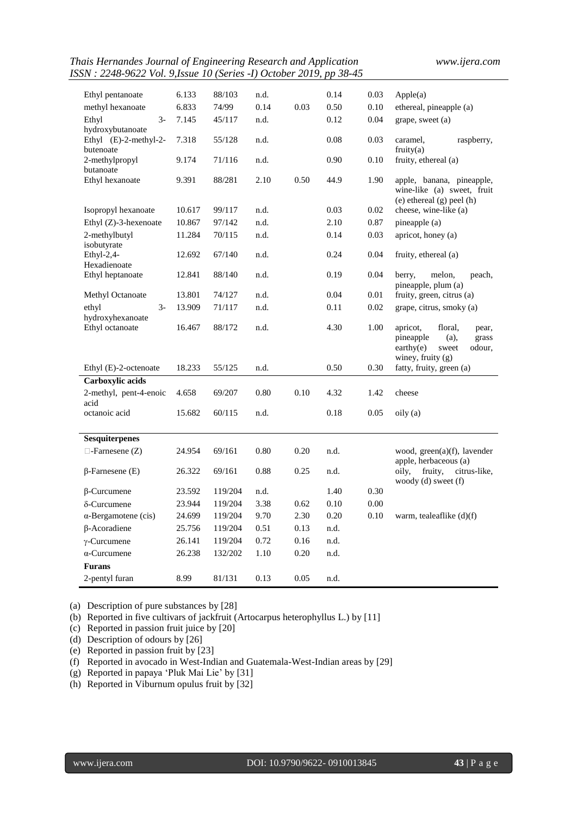*Thais Hernandes Journal of Engineering Research and Application www.ijera.com ISSN : 2248-9622 Vol. 9,Issue 10 (Series -I) October 2019, pp 38-45*

| 6.133<br>88/103<br>0.14<br>0.03<br>Apple(a)<br>Ethyl pentanoate<br>n.d.                                                                                          |                          |
|------------------------------------------------------------------------------------------------------------------------------------------------------------------|--------------------------|
| 6.833<br>74/99<br>0.14<br>0.03<br>0.50<br>methyl hexanoate<br>0.10<br>ethereal, pineapple (a)                                                                    |                          |
| $3-$                                                                                                                                                             |                          |
| Ethyl<br>7.145<br>45/117<br>0.12<br>0.04<br>grape, sweet (a)<br>n.d.<br>hydroxybutanoate                                                                         |                          |
| 0.03<br>Ethyl $(E)-2$ -methyl-2-<br>7.318<br>55/128<br>n.d.<br>0.08<br>caramel,<br>fruity $(a)$<br>butenoate                                                     | raspberry,               |
| 2-methylpropyl<br>71/116<br>0.90<br>0.10<br>fruity, ethereal (a)<br>9.174<br>n.d.<br>butanoate                                                                   |                          |
| 88/281<br>2.10<br>0.50<br>44.9<br>1.90<br>Ethyl hexanoate<br>9.391<br>apple, banana, pineapple,<br>wine-like (a) sweet, fruit<br>$(e)$ ethereal $(g)$ peel $(h)$ |                          |
| 99/117<br>n.d.<br>0.03<br>0.02<br>cheese, wine-like (a)<br>Isopropyl hexanoate<br>10.617                                                                         |                          |
| 97/142<br>n.d.<br>0.87<br>Ethyl $(Z)$ -3-hexenoate<br>10.867<br>2.10<br>pineapple (a)                                                                            |                          |
| 2-methylbutyl<br>11.284<br>70/115<br>0.14<br>0.03<br>apricot, honey (a)<br>n.d.<br>isobutyrate                                                                   |                          |
| Ethyl-2,4-<br>12.692<br>67/140<br>0.24<br>0.04<br>fruity, ethereal (a)<br>n.d.<br>Hexadienoate                                                                   |                          |
| 0.19<br>0.04<br>Ethyl heptanoate<br>12.841<br>88/140<br>n.d.<br>berry,<br>melon,<br>pineapple, plum (a)                                                          | peach,                   |
| Methyl Octanoate<br>13.801<br>74/127<br>n.d.<br>0.04<br>0.01<br>fruity, green, citrus (a)                                                                        |                          |
| $3-$<br>13.909<br>71/117<br>n.d.<br>0.11<br>0.02<br>grape, citrus, smoky (a)<br>ethyl<br>hydroxyhexanoate                                                        |                          |
| 4.30<br>1.00<br>Ethyl octanoate<br>16.467<br>88/172<br>n.d.<br>apricot,<br>floral,<br>pineapple<br>(a),<br>earthy(e)<br>sweet<br>winey, fruity $(g)$             | pear,<br>grass<br>odour, |
| 0.50<br>0.30<br>Ethyl (E)-2-octenoate<br>18.233<br>55/125<br>n.d.<br>fatty, fruity, green (a)                                                                    |                          |
| Carboxylic acids                                                                                                                                                 |                          |
| 2-methyl, pent-4-enoic<br>0.10<br>4.658<br>69/207<br>0.80<br>4.32<br>1.42<br>cheese<br>acid                                                                      |                          |
| octanoic acid<br>0.18<br>15.682<br>60/115<br>n.d.<br>0.05<br>oily (a)                                                                                            |                          |
| Sesquiterpenes                                                                                                                                                   |                          |
| 0.80<br>$\Box$ -Farnesene (Z)<br>24.954<br>69/161<br>0.20<br>n.d.<br>wood, $green(a)(f)$ , lavender                                                              |                          |
| apple, herbaceous (a)                                                                                                                                            |                          |
| 0.88<br>0.25<br>fruity,<br>$\beta$ -Farnesene (E)<br>26.322<br>69/161<br>n.d.<br>oily,<br>woody (d) sweet (f)                                                    | citrus-like,             |
| 0.30<br>23.592<br>119/204<br>n.d.<br>1.40<br>$\beta$ -Curcumene                                                                                                  |                          |
| 3.38<br>23.944<br>119/204<br>0.62<br>0.10<br>0.00<br>δ-Curcumene                                                                                                 |                          |
| 9.70<br>2.30<br>0.20<br>0.10<br>$\alpha$ -Bergamotene (cis)<br>24.699<br>119/204<br>warm, tealeaflike (d)(f)                                                     |                          |
| $\beta$ -Acoradiene<br>0.51<br>25.756<br>119/204<br>0.13<br>n.d.                                                                                                 |                          |
| 26.141<br>119/204<br>0.72<br>0.16<br>n.d.<br>$\gamma$ -Curcumene                                                                                                 |                          |
| $\alpha$ -Curcumene<br>26.238<br>132/202<br>1.10<br>0.20<br>n.d.                                                                                                 |                          |
| <b>Furans</b>                                                                                                                                                    |                          |
| 2-pentyl furan<br>8.99<br>81/131<br>0.13<br>0.05<br>n.d.                                                                                                         |                          |

(a) Description of pure substances by [28]

(b) Reported in five cultivars of jackfruit (Artocarpus heterophyllus L.) by [11]

(c) Reported in passion fruit juice by [20]

(d) Description of odours by [26]

(e) Reported in passion fruit by [23]

(f) Reported in avocado in West-Indian and Guatemala-West-Indian areas by [29]

(g) Reported in papaya 'Pluk Mai Lie' by [31]

(h) Reported in Viburnum opulus fruit by [32]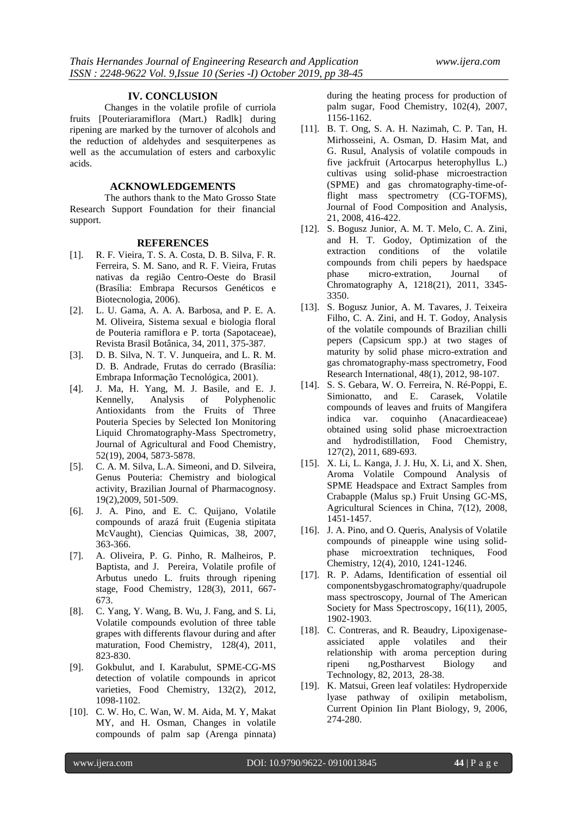## **IV. CONCLUSION**

Changes in the volatile profile of curriola fruits [Pouteriaramiflora (Mart.) Radlk] during ripening are marked by the turnover of alcohols and the reduction of aldehydes and sesquiterpenes as well as the accumulation of esters and carboxylic acids.

## **ACKNOWLEDGEMENTS**

The authors thank to the Mato Grosso State Research Support Foundation for their financial support.

#### **REFERENCES**

- [1]. R. F. Vieira, T. S. A. Costa, D. B. Silva, F. R. Ferreira, S. M. Sano, and R. F. Vieira, Frutas nativas da região Centro-Oeste do Brasil (Brasília: Embrapa Recursos Genéticos e Biotecnologia, 2006).
- [2]. L. U. Gama, A. A. A. Barbosa, and P. E. A. M. Oliveira, Sistema sexual e biologia floral de Pouteria ramiflora e P. torta (Sapotaceae), Revista Brasil Botânica, 34, 2011, 375-387.
- [3]. D. B. Silva, N. T. V. Junqueira, and L. R. M. D. B. Andrade, Frutas do cerrado (Brasília: Embrapa Informação Tecnológica, 2001).
- [4]. J. Ma, H. Yang, M. J. Basile, and E. J. Kennelly, Analysis of Polyphenolic Antioxidants from the Fruits of Three Pouteria Species by Selected Ion Monitoring Liquid Chromatography-Mass Spectrometry, Journal of Agricultural and Food Chemistry, 52(19), 2004, 5873-5878.
- [5]. C. A. M. Silva, L.A. Simeoni, and D. Silveira, Genus Pouteria: Chemistry and biological activity, Brazilian Journal of Pharmacognosy. 19(2),2009, 501-509.
- [6]. J. A. Pino, and E. C. Quijano, Volatile compounds of arazá fruit (Eugenia stipitata McVaught), Ciencias Quimicas, 38, 2007, 363-366.
- [7]. A. Oliveira, P. G. Pinho, R. Malheiros, P. Baptista, and J. Pereira, Volatile profile of Arbutus unedo L. fruits through ripening stage, Food Chemistry, 128(3), 2011, 667- 673.
- [8]. C. Yang, Y. Wang, B. Wu, J. Fang, and S. Li, Volatile compounds evolution of three table grapes with differents flavour during and after maturation, Food Chemistry, 128(4), 2011, 823-830.
- [9]. Gokbulut, and I. Karabulut, SPME-CG-MS detection of volatile compounds in apricot varieties, Food Chemistry, 132(2), 2012, 1098-1102.
- [10]. C. W. Ho, C. Wan, W. M. Aida, M. Y, Makat MY, and H. Osman, Changes in volatile compounds of palm sap (Arenga pinnata)

during the heating process for production of palm sugar, Food Chemistry, 102(4), 2007, 1156-1162.

- [11]. B. T. Ong, S. A. H. Nazimah, C. P. Tan, H. Mirhosseini, A. Osman, D. Hasim Mat, and G. Rusul, Analysis of volatile compouds in five jackfruit (Artocarpus heterophyllus L.) cultivas using solid-phase microestraction (SPME) and gas chromatography-time-offlight mass spectrometry (CG-TOFMS), Journal of Food Composition and Analysis, 21, 2008, 416-422.
- [12]. S. Bogusz Junior, A. M. T. Melo, C. A. Zini, and H. T. Godoy, Optimization of the extraction conditions of the volatile compounds from chili pepers by haedspace<br>phase micro-extration, Journal of micro-extration, Journal of Chromatography A, 1218(21), 2011, 3345- 3350.
- [13]. S. Bogusz Junior, A. M. Tavares, J. Teixeira Filho, C. A. Zini, and H. T. Godoy, Analysis of the volatile compounds of Brazilian chilli pepers (Capsicum spp.) at two stages of maturity by solid phase micro-extration and gas chromatography-mass spectrometry, Food Research International, 48(1), 2012, 98-107.
- [14]. S. S. Gebara, W. O. Ferreira, N. Ré-Poppi, E. Simionatto, and E. Carasek, Volatile compounds of leaves and fruits of Mangifera indica var. coquinho (Anacardieaceae) obtained using solid phase microextraction and hydrodistillation, Food Chemistry, 127(2), 2011, 689-693.
- [15]. X. Li, L. Kanga, J. J. Hu, X. Li, and X. Shen, Aroma Volatile Compound Analysis of SPME Headspace and Extract Samples from Crabapple (Malus sp.) Fruit Unsing GC-MS, Agricultural Sciences in China, 7(12), 2008, 1451-1457.
- [16]. J. A. Pino, and O. Queris, Analysis of Volatile compounds of pineapple wine using solidphase microextration techniques, Food Chemistry, 12(4), 2010, 1241-1246.
- [17]. R. P. Adams, Identification of essential oil componentsbygaschromatography/quadrupole mass spectroscopy, Journal of The American Society for Mass Spectroscopy, 16(11), 2005, 1902-1903.
- [18]. C. Contreras, and R. Beaudry, Lipoxigenaseassiciated apple volatiles and their relationship with aroma perception during ripeni ng,Postharvest Biology and Technology, 82, 2013, 28-38.
- [19]. K. Matsui, Green leaf volatiles: Hydroperxide lyase pathway of oxilipin metabolism, Current Opinion Iin Plant Biology, 9, 2006, 274-280.